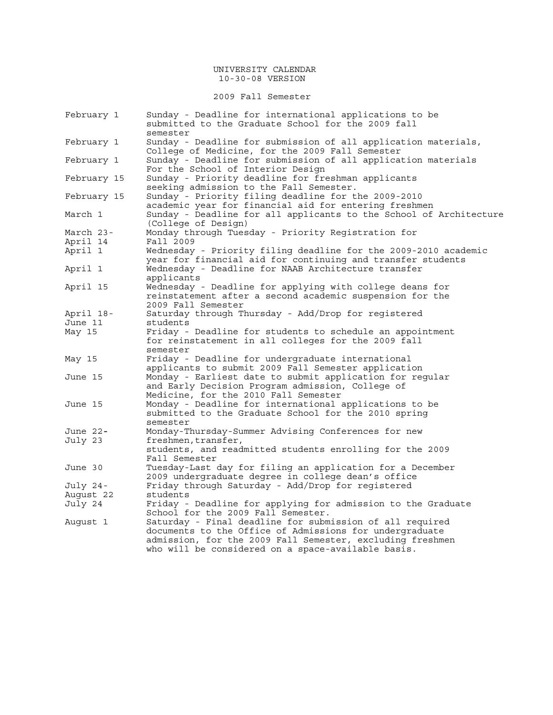### UNIVERSITY CALENDAR 10-30-08 VERSION

2009 Fall Semester

| February 1         | Sunday - Deadline for international applications to be<br>submitted to the Graduate School for the 2009 fall<br>semester                                                                                                               |
|--------------------|----------------------------------------------------------------------------------------------------------------------------------------------------------------------------------------------------------------------------------------|
| February 1         | Sunday - Deadline for submission of all application materials,<br>College of Medicine, for the 2009 Fall Semester                                                                                                                      |
| February 1         | Sunday - Deadline for submission of all application materials<br>For the School of Interior Design                                                                                                                                     |
| February 15        | Sunday - Priority deadline for freshman applicants<br>seeking admission to the Fall Semester.                                                                                                                                          |
| February 15        | Sunday - Priority filing deadline for the 2009-2010<br>academic year for financial aid for entering freshmen                                                                                                                           |
| March 1            | Sunday - Deadline for all applicants to the School of Architecture<br>(College of Design)                                                                                                                                              |
| March 23-          | Monday through Tuesday - Priority Registration for                                                                                                                                                                                     |
| April 14           | Fall 2009                                                                                                                                                                                                                              |
| April 1<br>April 1 | Wednesday - Priority filing deadline for the 2009-2010 academic<br>year for financial aid for continuing and transfer students<br>Wednesday - Deadline for NAAB Architecture transfer                                                  |
|                    | applicants                                                                                                                                                                                                                             |
| April 15           | Wednesday - Deadline for applying with college deans for<br>reinstatement after a second academic suspension for the                                                                                                                   |
| April 18-          | 2009 Fall Semester<br>Saturday through Thursday - Add/Drop for registered                                                                                                                                                              |
| June 11            | students                                                                                                                                                                                                                               |
| May 15             | Friday - Deadline for students to schedule an appointment                                                                                                                                                                              |
|                    | for reinstatement in all colleges for the 2009 fall<br>semester                                                                                                                                                                        |
| May 15             | Friday - Deadline for undergraduate international<br>applicants to submit 2009 Fall Semester application                                                                                                                               |
| June 15            | Monday - Earliest date to submit application for regular<br>and Early Decision Program admission, College of<br>Medicine, for the 2010 Fall Semester                                                                                   |
| June 15            | Monday - Deadline for international applications to be<br>submitted to the Graduate School for the 2010 spring<br>semester                                                                                                             |
| June 22-           | Monday-Thursday-Summer Advising Conferences for new                                                                                                                                                                                    |
| July 23            | freshmen, transfer,                                                                                                                                                                                                                    |
|                    | students, and readmitted students enrolling for the 2009<br>Fall Semester                                                                                                                                                              |
| June 30            | Tuesday-Last day for filing an application for a December<br>2009 undergraduate degree in college dean's office                                                                                                                        |
| July 24-           | Friday through Saturday - Add/Drop for registered                                                                                                                                                                                      |
| Auqust 22          | students                                                                                                                                                                                                                               |
| July 24            | Friday - Deadline for applying for admission to the Graduate<br>School for the 2009 Fall Semester.                                                                                                                                     |
| August 1           | Saturday - Final deadline for submission of all required<br>documents to the Office of Admissions for undergraduate<br>admission, for the 2009 Fall Semester, excluding freshmen<br>who will be considered on a space-available basis. |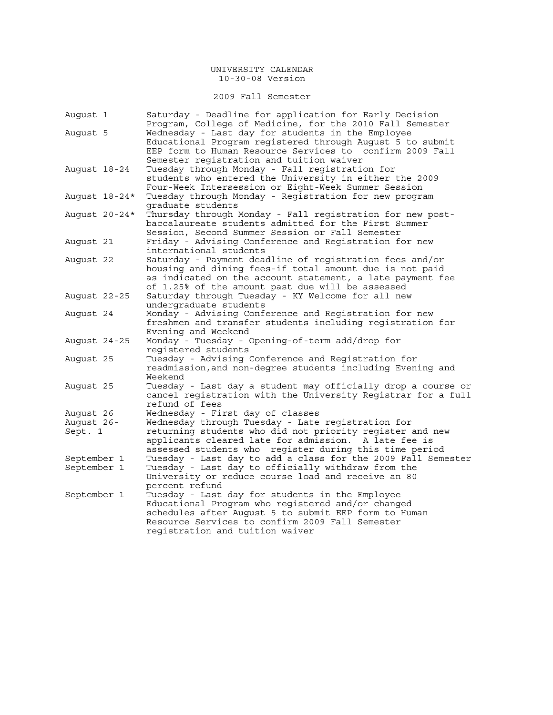2009 Fall Semester

| August 1      | Saturday - Deadline for application for Early Decision<br>Program, College of Medicine, for the 2010 Fall Semester |
|---------------|--------------------------------------------------------------------------------------------------------------------|
| August 5      | Wednesday - Last day for students in the Employee                                                                  |
|               | Educational Program registered through August 5 to submit                                                          |
|               | EEP form to Human Resource Services to confirm 2009 Fall                                                           |
|               | Semester registration and tuition waiver                                                                           |
| August 18-24  | Tuesday through Monday - Fall registration for                                                                     |
|               | students who entered the University in either the 2009                                                             |
|               | Four-Week Intersession or Eight-Week Summer Session                                                                |
| August 18-24* | Tuesday through Monday - Registration for new program                                                              |
|               | graduate students                                                                                                  |
| August 20-24* | Thursday through Monday - Fall registration for new post-                                                          |
|               | baccalaureate students admitted for the First Summer                                                               |
|               | Session, Second Summer Session or Fall Semester                                                                    |
| August 21     | Friday - Advising Conference and Registration for new                                                              |
|               | international students                                                                                             |
| August 22     | Saturday - Payment deadline of registration fees and/or                                                            |
|               | housing and dining fees-if total amount due is not paid                                                            |
|               | as indicated on the account statement, a late payment fee                                                          |
|               | of 1.25% of the amount past due will be assessed                                                                   |
| August 22-25  | Saturday through Tuesday - KY Welcome for all new                                                                  |
|               | undergraduate students                                                                                             |
| August 24     | Monday - Advising Conference and Registration for new<br>freshmen and transfer students including registration for |
|               | Evening and Weekend                                                                                                |
| August 24-25  | Monday - Tuesday - Opening-of-term add/drop for                                                                    |
|               | reqistered students                                                                                                |
| August 25     | Tuesday - Advising Conference and Registration for                                                                 |
|               | readmission, and non-degree students including Evening and                                                         |
|               | Weekend                                                                                                            |
| August 25     | Tuesday - Last day a student may officially drop a course or                                                       |
|               | cancel registration with the University Registrar for a full                                                       |
|               | refund of fees                                                                                                     |
| August 26     | Wednesday - First day of classes                                                                                   |
| August 26-    | Wednesday through Tuesday - Late registration for                                                                  |
| Sept. 1       | returning students who did not priority register and new                                                           |
|               | applicants cleared late for admission. A late fee is                                                               |
|               | assessed students who register during this time period                                                             |
| September 1   | Tuesday - Last day to add a class for the 2009 Fall Semester                                                       |
| September 1   | Tuesday - Last day to officially withdraw from the                                                                 |
|               | University or reduce course load and receive an 80                                                                 |
|               | percent refund                                                                                                     |
| September 1   | Tuesday - Last day for students in the Employee                                                                    |
|               | Educational Program who registered and/or changed<br>schedules after August 5 to submit EEP form to Human          |
|               | Resource Services to confirm 2009 Fall Semester                                                                    |
|               | registration and tuition waiver                                                                                    |
|               |                                                                                                                    |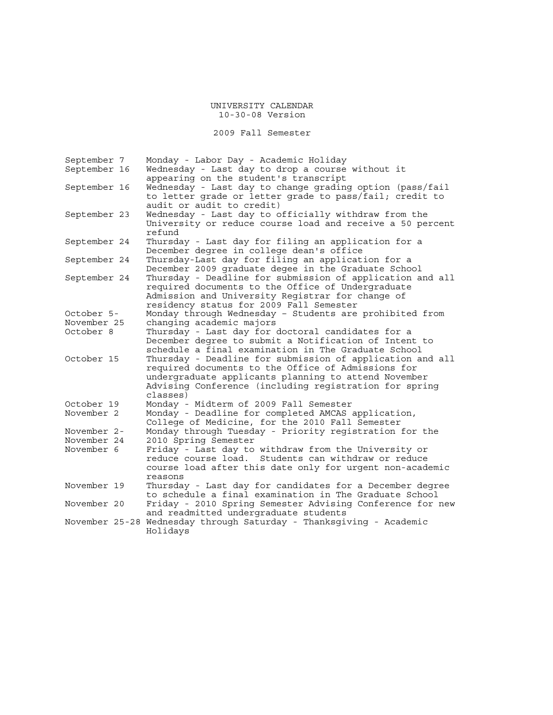2009 Fall Semester

| September 7  |  | Monday - Labor Day - Academic Holiday                                                                                                                                                                                                         |  |  |  |  |
|--------------|--|-----------------------------------------------------------------------------------------------------------------------------------------------------------------------------------------------------------------------------------------------|--|--|--|--|
| September 16 |  | Wednesday - Last day to drop a course without it                                                                                                                                                                                              |  |  |  |  |
|              |  | appearing on the student's transcript                                                                                                                                                                                                         |  |  |  |  |
| September 16 |  | Wednesday - Last day to change grading option (pass/fail<br>to letter grade or letter grade to pass/fail; credit to<br>audit or audit to credit)                                                                                              |  |  |  |  |
| September 23 |  | Wednesday - Last day to officially withdraw from the<br>University or reduce course load and receive a 50 percent<br>refund                                                                                                                   |  |  |  |  |
| September 24 |  | Thursday - Last day for filing an application for a<br>December degree in college dean's office                                                                                                                                               |  |  |  |  |
| September 24 |  | Thursday-Last day for filing an application for a<br>December 2009 graduate degee in the Graduate School                                                                                                                                      |  |  |  |  |
| September 24 |  | Thursday - Deadline for submission of application and all<br>required documents to the Office of Undergraduate<br>Admission and University Registrar for change of<br>residency status for 2009 Fall Semester                                 |  |  |  |  |
| October 5-   |  | Monday through Wednesday - Students are prohibited from                                                                                                                                                                                       |  |  |  |  |
| November 25  |  | changing academic majors                                                                                                                                                                                                                      |  |  |  |  |
| October 8    |  | Thursday - Last day for doctoral candidates for a<br>December degree to submit a Notification of Intent to<br>schedule a final examination in The Graduate School                                                                             |  |  |  |  |
| October 15   |  | Thursday - Deadline for submission of application and all<br>required documents to the Office of Admissions for<br>undergraduate applicants planning to attend November<br>Advising Conference (including registration for spring<br>classes) |  |  |  |  |
| October 19   |  | Monday - Midterm of 2009 Fall Semester                                                                                                                                                                                                        |  |  |  |  |
| November 2   |  | Monday - Deadline for completed AMCAS application,<br>College of Medicine, for the 2010 Fall Semester                                                                                                                                         |  |  |  |  |
| November 2-  |  | Monday through Tuesday - Priority registration for the                                                                                                                                                                                        |  |  |  |  |
| November 24  |  | 2010 Spring Semester                                                                                                                                                                                                                          |  |  |  |  |
| November 6   |  | Friday - Last day to withdraw from the University or<br>reduce course load. Students can withdraw or reduce<br>course load after this date only for urgent non-academic<br>reasons                                                            |  |  |  |  |
| November 19  |  | Thursday - Last day for candidates for a December degree<br>to schedule a final examination in The Graduate School                                                                                                                            |  |  |  |  |
| November 20  |  | Friday - 2010 Spring Semester Advising Conference for new<br>and readmitted undergraduate students                                                                                                                                            |  |  |  |  |
|              |  | November 25-28 Wednesday through Saturday - Thanksgiving - Academic<br>Holidays                                                                                                                                                               |  |  |  |  |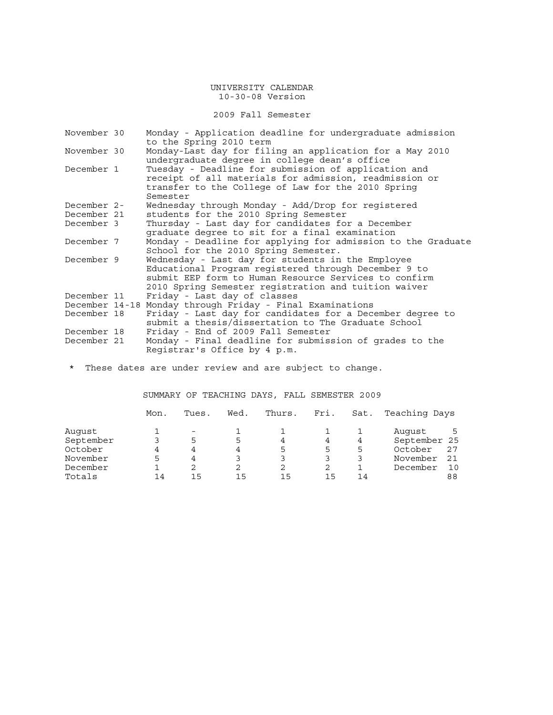2009 Fall Semester

| November 30    | Monday - Application deadline for undergraduate admission<br>to the Spring 2010 term                                                                                                                                       |  |  |  |  |  |  |  |  |
|----------------|----------------------------------------------------------------------------------------------------------------------------------------------------------------------------------------------------------------------------|--|--|--|--|--|--|--|--|
| November 30    | Monday-Last day for filing an application for a May 2010<br>undergraduate degree in college dean's office                                                                                                                  |  |  |  |  |  |  |  |  |
| December 1     | Tuesday - Deadline for submission of application and<br>receipt of all materials for admission, readmission or<br>transfer to the College of Law for the 2010 Spring<br>Semester                                           |  |  |  |  |  |  |  |  |
| December 2-    | Wednesday through Monday - Add/Drop for registered                                                                                                                                                                         |  |  |  |  |  |  |  |  |
| December 21    | students for the 2010 Spring Semester                                                                                                                                                                                      |  |  |  |  |  |  |  |  |
| December 3     | Thursday - Last day for candidates for a December<br>graduate degree to sit for a final examination                                                                                                                        |  |  |  |  |  |  |  |  |
| December 7     | Monday - Deadline for applying for admission to the Graduate<br>School for the 2010 Spring Semester.                                                                                                                       |  |  |  |  |  |  |  |  |
| December 9     | Wednesday - Last day for students in the Employee<br>Educational Program registered through December 9 to<br>submit EEP form to Human Resource Services to confirm<br>2010 Spring Semester registration and tuition waiver |  |  |  |  |  |  |  |  |
| December 11    | Friday - Last day of classes                                                                                                                                                                                               |  |  |  |  |  |  |  |  |
| December 14-18 | Monday through Friday - Final Examinations                                                                                                                                                                                 |  |  |  |  |  |  |  |  |
| December 18    | Friday - Last day for candidates for a December degree to<br>submit a thesis/dissertation to The Graduate School                                                                                                           |  |  |  |  |  |  |  |  |
| December 18    | Friday - End of 2009 Fall Semester                                                                                                                                                                                         |  |  |  |  |  |  |  |  |
| December 21    | Monday - Final deadline for submission of grades to the<br>Registrar's Office by 4 p.m.                                                                                                                                    |  |  |  |  |  |  |  |  |

\* These dates are under review and are subject to change.

SUMMARY OF TEACHING DAYS, FALL SEMESTER 2009

|           | Mon. | Tues. | Wed. | Thurs. | Fri. | Sat. | Teaching Days |     |
|-----------|------|-------|------|--------|------|------|---------------|-----|
| Auqust    |      |       |      |        |      |      | August        | 5   |
| September |      | 5     | 5    | 4      |      | 4    | September 25  |     |
| October   |      |       |      | ц.     |      | 5    | October       | 27  |
| November  |      | 4     |      |        |      |      | November      | -21 |
| December  |      | 2.    |      |        |      |      | December      | 10  |
| Totals    | 14   | 1 5   | 15   | 15     | 15   | 14   |               | 88  |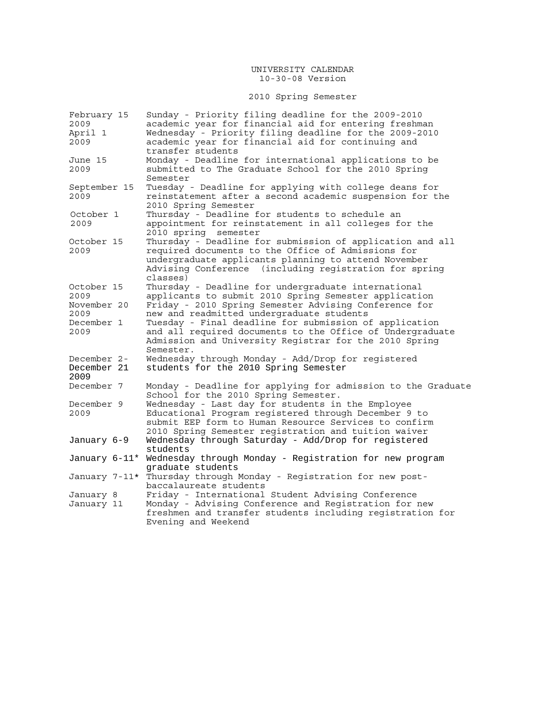# 2010 Spring Semester

| February 15  | Sunday - Priority filing deadline for the 2009-2010                   |  |  |  |  |  |
|--------------|-----------------------------------------------------------------------|--|--|--|--|--|
| 2009         | academic year for financial aid for entering freshman                 |  |  |  |  |  |
| April 1      | Wednesday - Priority filing deadline for the 2009-2010                |  |  |  |  |  |
| 2009         | academic year for financial aid for continuing and                    |  |  |  |  |  |
|              | transfer students                                                     |  |  |  |  |  |
| June 15      | Monday - Deadline for international applications to be                |  |  |  |  |  |
| 2009         | submitted to The Graduate School for the 2010 Spring                  |  |  |  |  |  |
|              | Semester                                                              |  |  |  |  |  |
| September 15 | Tuesday - Deadline for applying with college deans for                |  |  |  |  |  |
| 2009         | reinstatement after a second academic suspension for the              |  |  |  |  |  |
|              |                                                                       |  |  |  |  |  |
|              | 2010 Spring Semester                                                  |  |  |  |  |  |
| October 1    | Thursday - Deadline for students to schedule an                       |  |  |  |  |  |
| 2009         | appointment for reinstatement in all colleges for the                 |  |  |  |  |  |
|              | 2010 spring semester                                                  |  |  |  |  |  |
| October 15   | Thursday - Deadline for submission of application and all             |  |  |  |  |  |
| 2009         | required documents to the Office of Admissions for                    |  |  |  |  |  |
|              | undergraduate applicants planning to attend November                  |  |  |  |  |  |
|              | Advising Conference (including registration for spring                |  |  |  |  |  |
|              | classes)                                                              |  |  |  |  |  |
| October 15   | Thursday - Deadline for undergraduate international                   |  |  |  |  |  |
| 2009         | applicants to submit 2010 Spring Semester application                 |  |  |  |  |  |
| November 20  | Friday - 2010 Spring Semester Advising Conference for                 |  |  |  |  |  |
| 2009         | new and readmitted undergraduate students                             |  |  |  |  |  |
| December 1   | Tuesday - Final deadline for submission of application                |  |  |  |  |  |
| 2009         | and all required documents to the Office of Undergraduate             |  |  |  |  |  |
|              | Admission and University Registrar for the 2010 Spring                |  |  |  |  |  |
|              | Semester.                                                             |  |  |  |  |  |
| December 2-  | Wednesday through Monday - Add/Drop for registered                    |  |  |  |  |  |
| December 21  | students for the 2010 Spring Semester                                 |  |  |  |  |  |
| 2009         |                                                                       |  |  |  |  |  |
| December 7   | Monday - Deadline for applying for admission to the Graduate          |  |  |  |  |  |
|              | School for the 2010 Spring Semester.                                  |  |  |  |  |  |
| December 9   | Wednesday - Last day for students in the Employee                     |  |  |  |  |  |
|              |                                                                       |  |  |  |  |  |
| 2009         | Educational Program registered through December 9 to                  |  |  |  |  |  |
|              | submit EEP form to Human Resource Services to confirm                 |  |  |  |  |  |
|              | 2010 Spring Semester registration and tuition waiver                  |  |  |  |  |  |
| January 6-9  | Wednesday through Saturday - Add/Drop for registered                  |  |  |  |  |  |
|              | students                                                              |  |  |  |  |  |
|              | January 6-11* Wednesday through Monday - Registration for new program |  |  |  |  |  |
|              | graduate students                                                     |  |  |  |  |  |
|              | January 7-11* Thursday through Monday - Registration for new post-    |  |  |  |  |  |
|              | baccalaureate students                                                |  |  |  |  |  |
| January 8    | Friday - International Student Advising Conference                    |  |  |  |  |  |
| January 11   | Monday - Advising Conference and Registration for new                 |  |  |  |  |  |
|              | freshmen and transfer students including registration for             |  |  |  |  |  |
|              | Evening and Weekend                                                   |  |  |  |  |  |
|              |                                                                       |  |  |  |  |  |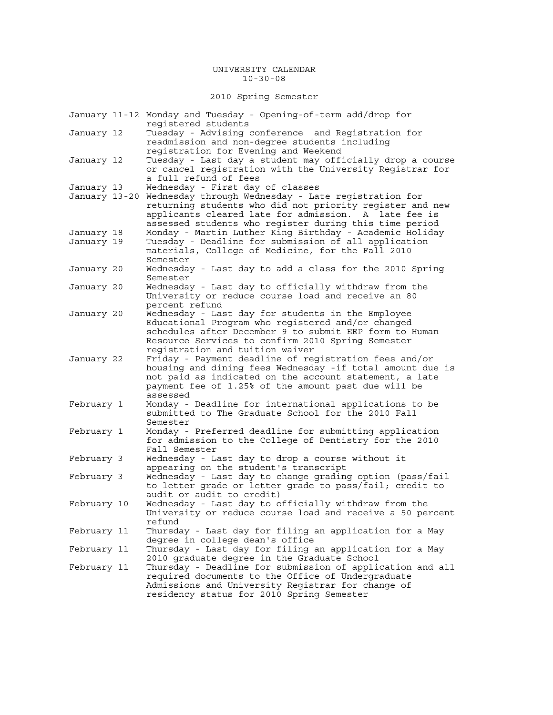### UNIVERSITY CALENDAR 10-30-08

2010 Spring Semester

|               | January 11-12 Monday and Tuesday - Opening-of-term add/drop for<br>reqistered students                                                                                                                                                                                             |
|---------------|------------------------------------------------------------------------------------------------------------------------------------------------------------------------------------------------------------------------------------------------------------------------------------|
| January 12    | Tuesday - Advising conference and Registration for<br>readmission and non-degree students including                                                                                                                                                                                |
| January 12    | registration for Evening and Weekend<br>Tuesday - Last day a student may officially drop a course<br>or cancel registration with the University Registrar for<br>a full refund of fees                                                                                             |
| January 13    | Wednesday - First day of classes                                                                                                                                                                                                                                                   |
| January 13-20 | Wednesday through Wednesday - Late registration for<br>returning students who did not priority register and new<br>applicants cleared late for admission. A late fee is<br>assessed students who register during this time period                                                  |
| January 18    | Monday - Martin Luther King Birthday - Academic Holiday                                                                                                                                                                                                                            |
| January 19    | Tuesday - Deadline for submission of all application<br>materials, College of Medicine, for the Fall 2010<br>Semester                                                                                                                                                              |
| January 20    | Wednesday - Last day to add a class for the 2010 Spring<br>Semester                                                                                                                                                                                                                |
| January 20    | Wednesday - Last day to officially withdraw from the<br>University or reduce course load and receive an 80                                                                                                                                                                         |
| January 20    | percent refund<br>Wednesday - Last day for students in the Employee<br>Educational Program who registered and/or changed<br>schedules after December 9 to submit EEP form to Human<br>Resource Services to confirm 2010 Spring Semester                                            |
| January 22    | registration and tuition waiver<br>Friday - Payment deadline of registration fees and/or<br>housing and dining fees Wednesday -if total amount due is<br>not paid as indicated on the account statement, a late<br>payment fee of 1.25% of the amount past due will be<br>assessed |
| February 1    | Monday - Deadline for international applications to be<br>submitted to The Graduate School for the 2010 Fall                                                                                                                                                                       |
| February 1    | Semester<br>Monday - Preferred deadline for submitting application<br>for admission to the College of Dentistry for the 2010<br>Fall Semester                                                                                                                                      |
| February 3    | Wednesday - Last day to drop a course without it<br>appearing on the student's transcript                                                                                                                                                                                          |
| February 3    | Wednesday - Last day to change grading option (pass/fail<br>to letter grade or letter grade to pass/fail; credit to<br>audit or audit to credit)                                                                                                                                   |
| February 10   | Wednesday - Last day to officially withdraw from the<br>University or reduce course load and receive a 50 percent<br>refund                                                                                                                                                        |
| February 11   | Thursday - Last day for filing an application for a May<br>degree in college dean's office                                                                                                                                                                                         |
| February 11   | Thursday - Last day for filing an application for a May<br>2010 graduate degree in the Graduate School                                                                                                                                                                             |
| February 11   | Thursday - Deadline for submission of application and all<br>required documents to the Office of Undergraduate<br>Admissions and University Registrar for change of<br>residency status for 2010 Spring Semester                                                                   |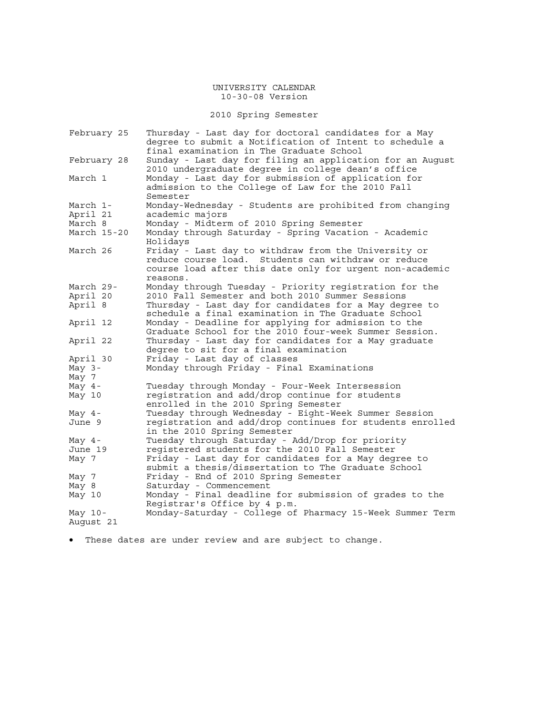2010 Spring Semester

| February 25            | Thursday - Last day for doctoral candidates for a May<br>degree to submit a Notification of Intent to schedule a<br>final examination in The Graduate School                        |
|------------------------|-------------------------------------------------------------------------------------------------------------------------------------------------------------------------------------|
| February 28            | Sunday - Last day for filing an application for an August<br>2010 undergraduate degree in college dean's office                                                                     |
| March 1                | Monday - Last day for submission of application for<br>admission to the College of Law for the 2010 Fall<br>Semester                                                                |
| March 1-               | Monday-Wednesday - Students are prohibited from changing                                                                                                                            |
| April 21               | academic majors                                                                                                                                                                     |
| March 8                | Monday - Midterm of 2010 Spring Semester                                                                                                                                            |
| March 15-20            | Monday through Saturday - Spring Vacation - Academic<br>Holidays                                                                                                                    |
| March 26               | Friday - Last day to withdraw from the University or<br>reduce course load. Students can withdraw or reduce<br>course load after this date only for urgent non-academic<br>reasons. |
| March 29-              | Monday through Tuesday - Priority registration for the                                                                                                                              |
| April 20               | 2010 Fall Semester and both 2010 Summer Sessions                                                                                                                                    |
| April 8                | Thursday - Last day for candidates for a May degree to<br>schedule a final examination in The Graduate School                                                                       |
| April 12               | Monday - Deadline for applying for admission to the<br>Graduate School for the 2010 four-week Summer Session.                                                                       |
| April 22               | Thursday - Last day for candidates for a May graduate<br>degree to sit for a final examination                                                                                      |
| April 30               | Friday - Last day of classes                                                                                                                                                        |
| May $3-$               | Monday through Friday - Final Examinations                                                                                                                                          |
| May 7                  |                                                                                                                                                                                     |
| May $4-$               | Tuesday through Monday - Four-Week Intersession                                                                                                                                     |
| May 10                 | registration and add/drop continue for students<br>enrolled in the 2010 Spring Semester                                                                                             |
| May $4-$               | Tuesday through Wednesday - Eight-Week Summer Session                                                                                                                               |
| June 9                 | reqistration and add/drop continues for students enrolled<br>in the 2010 Spring Semester                                                                                            |
| May $4-$               | Tuesday through Saturday - Add/Drop for priority                                                                                                                                    |
| June 19                | registered students for the 2010 Fall Semester                                                                                                                                      |
| May 7                  | Friday - Last day for candidates for a May degree to<br>submit a thesis/dissertation to The Graduate School                                                                         |
| May 7                  | Friday - End of 2010 Spring Semester                                                                                                                                                |
| May 8                  | Saturday - Commencement                                                                                                                                                             |
| May 10                 | Monday - Final deadline for submission of grades to the<br>Registrar's Office by 4 p.m.                                                                                             |
| May $10-$<br>August 21 | Monday-Saturday - College of Pharmacy 15-Week Summer Term                                                                                                                           |
|                        |                                                                                                                                                                                     |

• These dates are under review and are subject to change.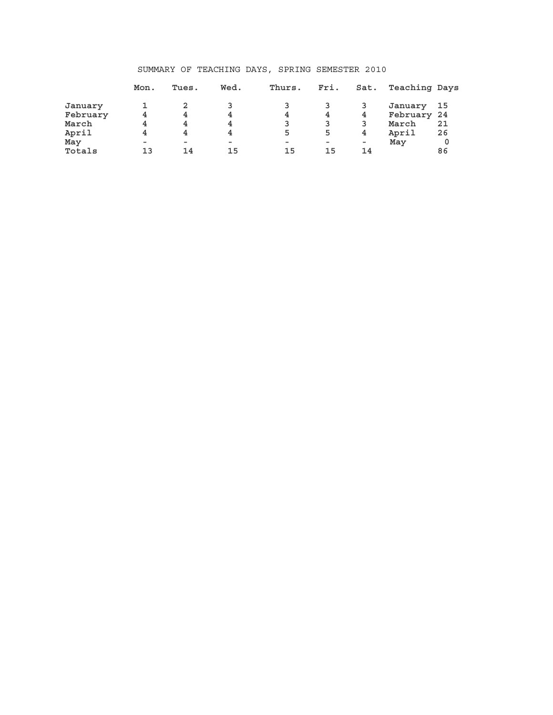## SUMMARY OF TEACHING DAYS, SPRING SEMESTER 2010

|          | Mon.   | Tues.                    | Wed.     | Thurs. | Fri.   | Sat. | Teaching Days |      |
|----------|--------|--------------------------|----------|--------|--------|------|---------------|------|
| January  |        |                          |          |        |        |      | January       | - 15 |
| February | 4      | 4                        | 4        | 4      | 4      | 4    | February 24   |      |
| March    | 4      | 4                        | 4        | 3      |        |      | March         | 21   |
| April    | 4      | 4                        | 4        | 5      | 5      | 4    | April         | 26   |
| May      | $\sim$ | $\overline{\phantom{a}}$ | $\equiv$ | $\sim$ | $\sim$ | ۰    | May           | 0    |
| Totals   | 13     | 14                       | 15       | 15     | 15     | 14   |               | 86   |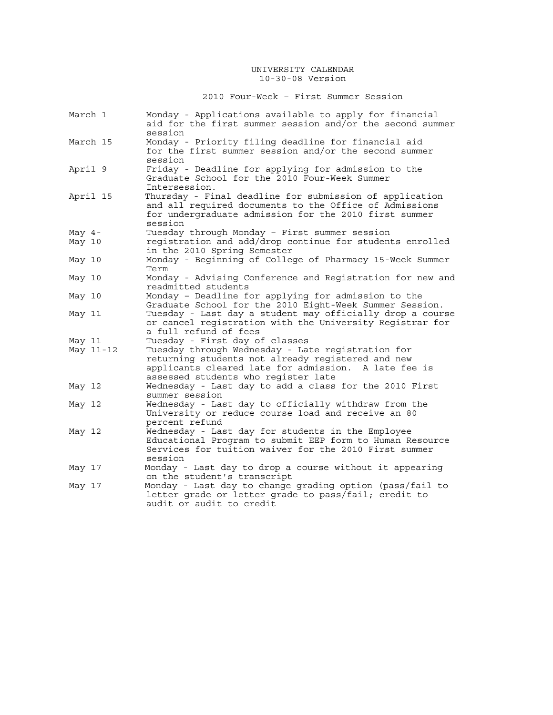2010 Four-Week – First Summer Session

| March 1            | Monday - Applications available to apply for financial<br>aid for the first summer session and/or the second summer<br>session                                                                        |
|--------------------|-------------------------------------------------------------------------------------------------------------------------------------------------------------------------------------------------------|
| March 15           | Monday - Priority filing deadline for financial aid<br>for the first summer session and/or the second summer<br>session                                                                               |
| April 9            | Friday - Deadline for applying for admission to the<br>Graduate School for the 2010 Four-Week Summer<br>Intersession.                                                                                 |
| April 15           | Thursday - Final deadline for submission of application<br>and all required documents to the Office of Admissions<br>for undergraduate admission for the 2010 first summer<br>session                 |
| May $4-$<br>May 10 | Tuesday through Monday - First summer session<br>registration and add/drop continue for students enrolled<br>in the 2010 Spring Semester                                                              |
| May 10             | Monday - Beginning of College of Pharmacy 15-Week Summer<br>Term                                                                                                                                      |
| May 10             | Monday - Advising Conference and Registration for new and<br>readmitted students                                                                                                                      |
| May 10             | Monday - Deadline for applying for admission to the<br>Graduate School for the 2010 Eight-Week Summer Session.                                                                                        |
| May 11             | Tuesday - Last day a student may officially drop a course<br>or cancel registration with the University Registrar for<br>a full refund of fees                                                        |
| May 11             | Tuesday - First day of classes                                                                                                                                                                        |
| May 11-12          | Tuesday through Wednesday - Late registration for<br>returning students not already registered and new<br>applicants cleared late for admission. A late fee is<br>assessed students who register late |
| May 12             | Wednesday - Last day to add a class for the 2010 First<br>summer session                                                                                                                              |
| May 12             | Wednesday - Last day to officially withdraw from the<br>University or reduce course load and receive an 80<br>percent refund                                                                          |
| May 12             | Wednesday - Last day for students in the Employee<br>Educational Program to submit EEP form to Human Resource<br>Services for tuition waiver for the 2010 First summer<br>session                     |
| May 17             | Monday - Last day to drop a course without it appearing<br>on the student's transcript                                                                                                                |
| May 17             | Monday - Last day to change grading option (pass/fail to<br>letter grade or letter grade to pass/fail; credit to<br>audit or audit to credit                                                          |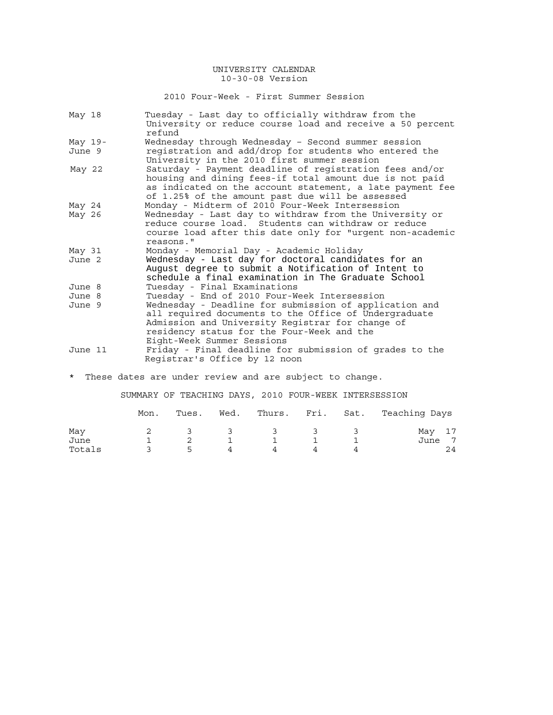2010 Four-Week - First Summer Session

| May 18    | Tuesday - Last day to officially withdraw from the<br>University or reduce course load and receive a 50 percent<br>refund                                                                                                                       |
|-----------|-------------------------------------------------------------------------------------------------------------------------------------------------------------------------------------------------------------------------------------------------|
| May $19-$ | Wednesday through Wednesday - Second summer session                                                                                                                                                                                             |
| June 9    | registration and add/drop for students who entered the<br>University in the 2010 first summer session                                                                                                                                           |
| May 22    | Saturday - Payment deadline of registration fees and/or<br>housing and dining fees-if total amount due is not paid<br>as indicated on the account statement, a late payment fee<br>of 1.25% of the amount past due will be assessed             |
| May 24    | Monday - Midterm of 2010 Four-Week Intersession                                                                                                                                                                                                 |
| May 26    | Wednesday - Last day to withdraw from the University or<br>reduce course load. Students can withdraw or reduce<br>course load after this date only for "urgent non-academic<br>reasons."                                                        |
| May 31    | Monday - Memorial Day - Academic Holiday                                                                                                                                                                                                        |
| June 2    | Wednesday - Last day for doctoral candidates for an<br>August degree to submit a Notification of Intent to<br>schedule a final examination in The Graduate School                                                                               |
| June 8    | Tuesday - Final Examinations                                                                                                                                                                                                                    |
| June 8    | Tuesday - End of 2010 Four-Week Intersession                                                                                                                                                                                                    |
| June 9    | Wednesday - Deadline for submission of application and<br>all required documents to the Office of Undergraduate<br>Admission and University Registrar for change of<br>residency status for the Four-Week and the<br>Eight-Week Summer Sessions |
| June 11   | Friday - Final deadline for submission of grades to the<br>Registrar's Office by 12 noon                                                                                                                                                        |

\* These dates are under review and are subject to change.

SUMMARY OF TEACHING DAYS, 2010 FOUR-WEEK INTERSESSION

|        | Mon. | Tues.         | Wed.                    |                         |     |   | Thurs. Fri. Sat. Teaching Days |
|--------|------|---------------|-------------------------|-------------------------|-----|---|--------------------------------|
| May    |      | $\mathcal{R}$ | $\overline{\mathbf{3}}$ | $\overline{\mathbf{3}}$ | - 2 |   | May 17                         |
| June   |      |               |                         |                         |     |   | June 7                         |
| Totals |      | ь.            | $\overline{4}$          |                         |     | 4 | 24                             |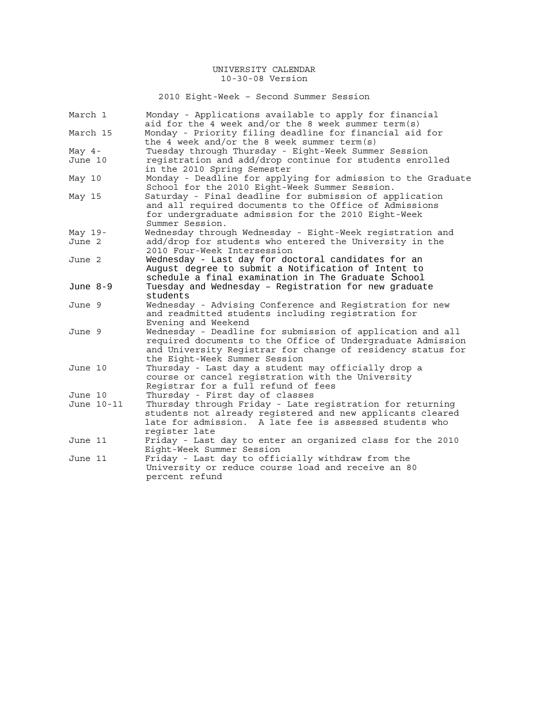2010 Eight-Week – Second Summer Session

| March 1    |            | Monday - Applications available to apply for financial<br>aid for the 4 week and/or the 8 week summer term(s)                                                                                                             |  |  |  |  |  |  |
|------------|------------|---------------------------------------------------------------------------------------------------------------------------------------------------------------------------------------------------------------------------|--|--|--|--|--|--|
| March 15   |            | Monday - Priority filing deadline for financial aid for                                                                                                                                                                   |  |  |  |  |  |  |
|            |            | the 4 week and/or the 8 week summer term(s)                                                                                                                                                                               |  |  |  |  |  |  |
| May $4-$   |            | Tuesday through Thursday - Eight-Week Summer Session                                                                                                                                                                      |  |  |  |  |  |  |
| June 10    |            | registration and add/drop continue for students enrolled                                                                                                                                                                  |  |  |  |  |  |  |
|            |            | in the 2010 Spring Semester                                                                                                                                                                                               |  |  |  |  |  |  |
| May 10     |            | Monday - Deadline for applying for admission to the Graduate<br>School for the 2010 Eight-Week Summer Session.                                                                                                            |  |  |  |  |  |  |
| May 15     |            | Saturday - Final deadline for submission of application<br>and all required documents to the Office of Admissions<br>for undergraduate admission for the 2010 Eight-Week<br>Summer Session.                               |  |  |  |  |  |  |
| May 19-    |            | Wednesday through Wednesday - Eight-Week registration and                                                                                                                                                                 |  |  |  |  |  |  |
| June 2     |            | add/drop for students who entered the University in the                                                                                                                                                                   |  |  |  |  |  |  |
|            |            | 2010 Four-Week Intersession                                                                                                                                                                                               |  |  |  |  |  |  |
| June 2     |            | Wednesday - Last day for doctoral candidates for an<br>August degree to submit a Notification of Intent to                                                                                                                |  |  |  |  |  |  |
|            |            | schedule a final examination in The Graduate School                                                                                                                                                                       |  |  |  |  |  |  |
| June $8-9$ |            | Tuesday and Wednesday - Registration for new graduate                                                                                                                                                                     |  |  |  |  |  |  |
|            |            | students                                                                                                                                                                                                                  |  |  |  |  |  |  |
| June 9     |            | Wednesday - Advising Conference and Registration for new<br>and readmitted students including registration for<br>Evening and Weekend                                                                                     |  |  |  |  |  |  |
| June 9     |            | Wednesday - Deadline for submission of application and all<br>required documents to the Office of Undergraduate Admission<br>and University Registrar for change of residency status for<br>the Eight-Week Summer Session |  |  |  |  |  |  |
| June 10    |            | Thursday - Last day a student may officially drop a<br>course or cancel registration with the University                                                                                                                  |  |  |  |  |  |  |
|            |            | Registrar for a full refund of fees                                                                                                                                                                                       |  |  |  |  |  |  |
| June 10    |            | Thursday - First day of classes                                                                                                                                                                                           |  |  |  |  |  |  |
|            | June 10-11 | Thursday through Friday - Late registration for returning<br>students not already registered and new applicants cleared<br>late for admission. A late fee is assessed students who                                        |  |  |  |  |  |  |
|            |            | register late                                                                                                                                                                                                             |  |  |  |  |  |  |
| June 11    |            | Friday - Last day to enter an organized class for the 2010                                                                                                                                                                |  |  |  |  |  |  |
|            |            | Eight-Week Summer Session                                                                                                                                                                                                 |  |  |  |  |  |  |
| June 11    |            | Friday - Last day to officially withdraw from the                                                                                                                                                                         |  |  |  |  |  |  |
|            |            | University or reduce course load and receive an 80<br>percent refund                                                                                                                                                      |  |  |  |  |  |  |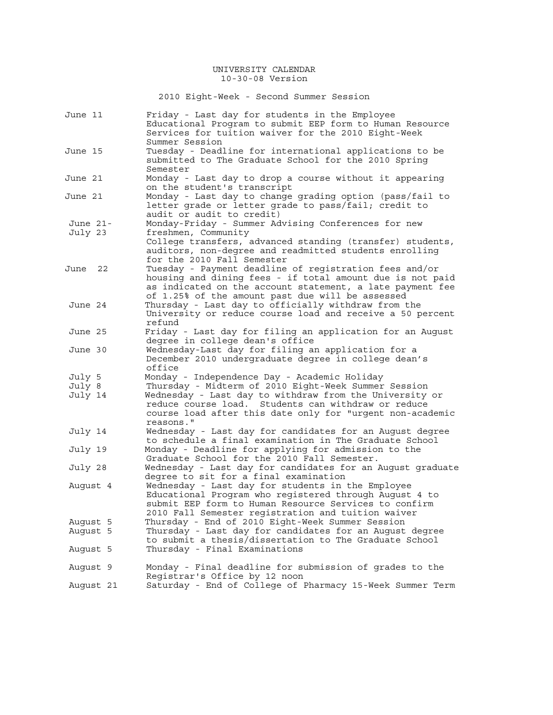2010 Eight-Week - Second Summer Session

| June 11                     | Friday - Last day for students in the Employee<br>Educational Program to submit EEP form to Human Resource<br>Services for tuition waiver for the 2010 Eight-Week                                                                                                                   |
|-----------------------------|-------------------------------------------------------------------------------------------------------------------------------------------------------------------------------------------------------------------------------------------------------------------------------------|
| June 15                     | Summer Session<br>Tuesday - Deadline for international applications to be<br>submitted to The Graduate School for the 2010 Spring                                                                                                                                                   |
| June 21                     | Semester<br>Monday - Last day to drop a course without it appearing<br>on the student's transcript                                                                                                                                                                                  |
| June 21                     | Monday - Last day to change grading option (pass/fail to<br>letter grade or letter grade to pass/fail; credit to<br>audit or audit to credit)                                                                                                                                       |
| June 21-<br>July 23         | Monday-Friday - Summer Advising Conferences for new<br>freshmen, Community<br>College transfers, advanced standing (transfer) students,<br>auditors, non-degree and readmitted students enrolling<br>for the 2010 Fall Semester                                                     |
| 22<br>June                  | Tuesday - Payment deadline of registration fees and/or<br>housing and dining fees - if total amount due is not paid<br>as indicated on the account statement, a late payment fee                                                                                                    |
| June 24                     | of 1.25% of the amount past due will be assessed<br>Thursday - Last day to officially withdraw from the<br>University or reduce course load and receive a 50 percent<br>refund                                                                                                      |
| June 25                     | Friday - Last day for filing an application for an August<br>degree in college dean's office                                                                                                                                                                                        |
| June 30                     | Wednesday-Last day for filing an application for a<br>December 2010 undergraduate degree in college dean's<br>office                                                                                                                                                                |
| July 5<br>July 8<br>July 14 | Monday - Independence Day - Academic Holiday<br>Thursday - Midterm of 2010 Eight-Week Summer Session<br>Wednesday - Last day to withdraw from the University or<br>reduce course load. Students can withdraw or reduce<br>course load after this date only for "urgent non-academic |
| July 14                     | reasons."<br>Wednesday - Last day for candidates for an August degree<br>to schedule a final examination in The Graduate School                                                                                                                                                     |
| July 19                     | Monday - Deadline for applying for admission to the<br>Graduate School for the 2010 Fall Semester.                                                                                                                                                                                  |
| July 28                     | Wednesday - Last day for candidates for an August graduate                                                                                                                                                                                                                          |
| August 4                    | degree to sit for a final examination<br>Wednesday - Last day for students in the Employee<br>Educational Program who registered through August 4 to<br>submit EEP form to Human Resource Services to confirm                                                                       |
| August 5<br>August 5        | 2010 Fall Semester registration and tuition waiver<br>Thursday - End of 2010 Eight-Week Summer Session<br>Thursday - Last day for candidates for an August degree<br>to submit a thesis/dissertation to The Graduate School                                                         |
| August 5                    | Thursday - Final Examinations                                                                                                                                                                                                                                                       |
| August 9                    | Monday - Final deadline for submission of grades to the<br>Registrar's Office by 12 noon                                                                                                                                                                                            |
| August 21                   | Saturday - End of College of Pharmacy 15-Week Summer Term                                                                                                                                                                                                                           |